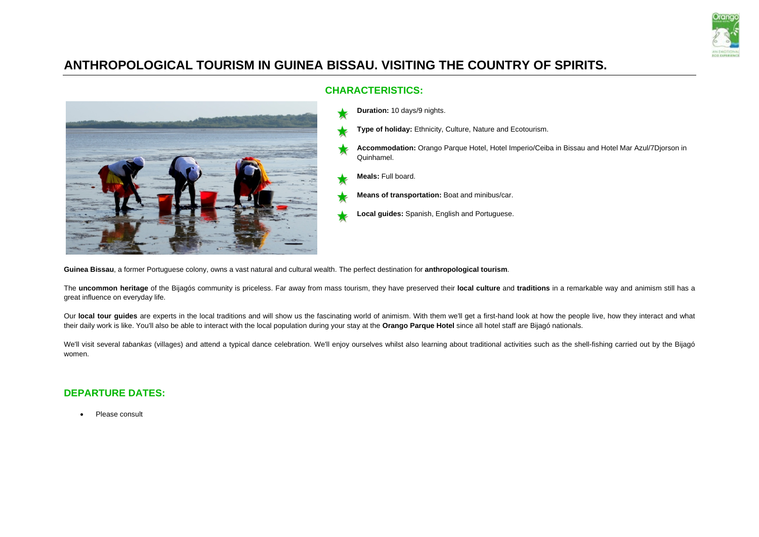

# **ANTHROPOLOGICAL TOURISM IN GUINEA BISSAU. VISITING THE COUNTRY OF SPIRITS.**



## **CHARACTERISTICS:**

- **Duration:** 10 days/9 nights.
- **Type of holiday:** Ethnicity, Culture, Nature and Ecotourism.
- **Accommodation:** Orango Parque Hotel, Hotel Imperio/Ceiba in Bissau and Hotel Mar Azul/7Djorson in Quinhamel.
- **Meals:** Full board.
	- **Means of transportation:** Boat and minibus/car.
- **Local guides:** Spanish, English and Portuguese.

**Guinea Bissau**, a former Portuguese colony, owns a vast natural and cultural wealth. The perfect destination for **anthropological tourism**.

The **uncommon heritage** of the Bijagós community is priceless. Far away from mass tourism, they have preserved their **local culture** and **traditions** in a remarkable way and animism still has a great influence on everyday life.

Our **local tour quides** are experts in the local traditions and will show us the fascinating world of animism. With them we'll get a first-hand look at how the people live, how they interact and what their daily work is like. You'll also be able to interact with the local population during your stay at the **Orango Parque Hotel** since all hotel staff are Bijagó nationals.

We'll visit several *tabankas* (villages) and attend a typical dance celebration. We'll enjoy ourselves whilst also learning about traditional activities such as the shell-fishing carried out by the Bijagó women.

# **DEPARTURE DATES:**

• Please consult